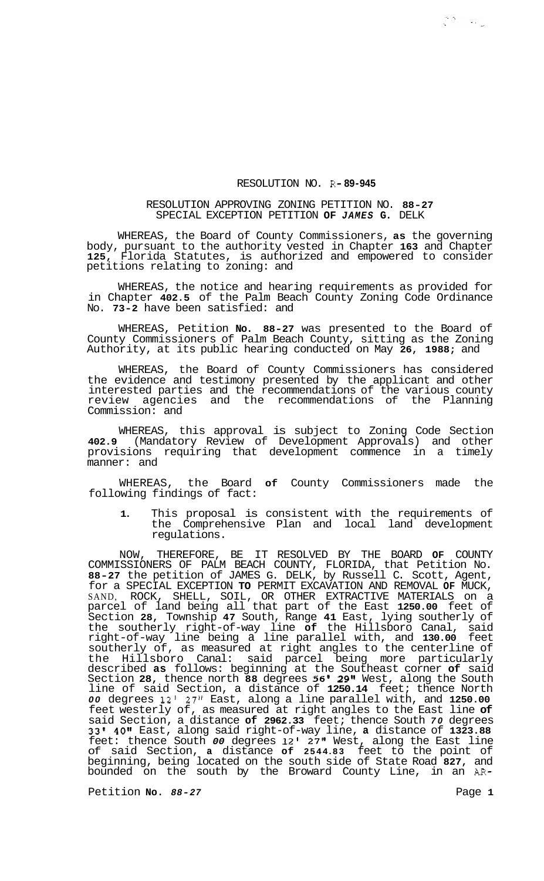## RESOLUTION NO. **R- 89-945**

## RESOLUTION APPROVING ZONING PETITION NO. **88-27**  SPECIAL EXCEPTION PETITION **OF** *JAMES* **G.** DELK

WHEREAS, the Board of County Commissioners, **as** the governing body, pursuant to the authority vested in Chapter **163** and Chapter **125,** Florida Statutes, is authorized and empowered to consider petitions relating to zoning: and

WHEREAS, the notice and hearing requirements as provided for in Chapter **402.5** of the Palm Beach County Zoning Code Ordinance No. **73-2** have been satisfied: and

WHEREAS, Petition **No. 88-27** was presented to the Board of County Commissioners of Palm Beach County, sitting as the Zoning Authority, at its public hearing conducted on May **26, 1988;** and

WHEREAS, the Board of County Commissioners has considered the evidence and testimony presented by the applicant and other interested parties and the recommendations of the various county review agencies and the recommendations of the Planning Commission: and

WHEREAS, this approval is subject to Zoning Code Section **402.9** (Mandatory Review of Development Approvals) and other provisions requiring that development commence in a timely manner: and

WHEREAS, the Board **of** County Commissioners made the following findings of fact:

**1.** This proposal is consistent with the requirements of the Comprehensive Plan and local land development regulations.

NOW, THEREFORE, BE IT RESOLVED BY THE BOARD **OF** COUNTY COMMISSIONERS OF PALM BEACH COUNTY, FLORIDA, that Petition No. **88-27** the petition of JAMES G. DELK, by Russell C. Scott, Agent, for a SPECIAL EXCEPTION **TO** PERMIT EXCAVATION AND REMOVAL **OF** MUCK, SAND, ROCK, SHELL, SOIL, OR OTHER EXTRACTIVE MATERIALS on a parcel of land being all that part of the East **1250.00** feet of Section **28,** Township **47** South, Range **41** East, lying southerly of the southerly right-of-way line **of** the Hillsboro Canal, said right-of-way line being a line parallel with, and **130.00** feet southerly of, as measured at right angles to the centerline of the Hillsboro Canal: said parcel being more particularly described **as** follows: beginning at the Southeast corner **of** said Section **28,** thence north **88** degrees **56I 29"** West, along the South line of said Section, a distance of **1250.14** feet; thence North *00* degrees **12'** *27"* East, along a line parallel with, and **1250.00**  feet westerly of, as measured at right angles to the East line **of**  said Section, a distance **of 2962.33** feet; thence South *70* degrees **33' 40t1** East, along said right-of-way line, **a** distance of **1323.88**  feet: thence South *00* degrees **12' 27"** West, along the East line of said Section, **a** distance **of 2544.83** feet to the point of beginning, being located on the south side of State Road **827,** and bounded on the south by the Broward County Line, in an AR-

Petition **No.**  $88-27$  Petition **No.**  $98-27$ 

 $\mathbb{C}^{n_1}\times\mathbb{C}$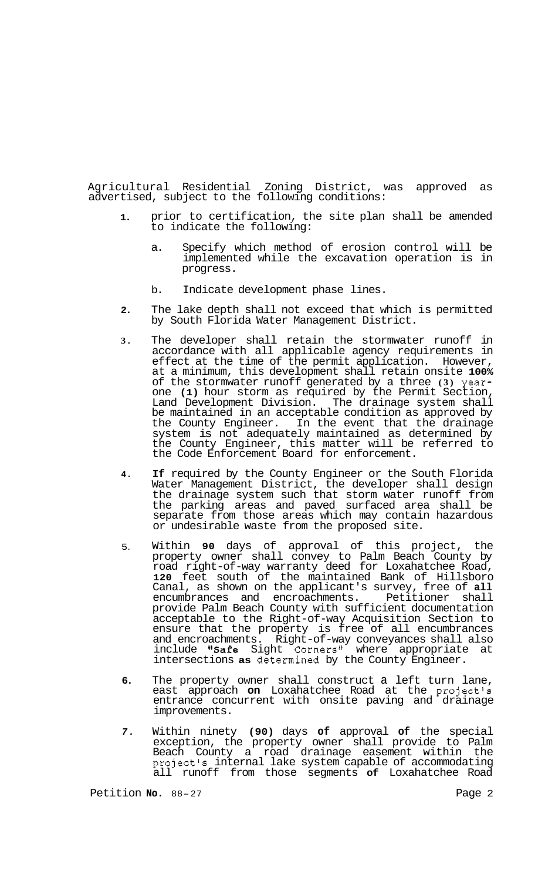Agricultural Residential Zoning District, was approved as advertised, subject to the following conditions:

- **1.**  prior to certification, the site plan shall be amended to indicate the following:
	- a. Specify which method of erosion control will be implemented while the excavation operation is in progress.
	- b. Indicate development phase lines.
- **2.**  The lake depth shall not exceed that which is permitted by South Florida Water Management District.
- **3.**  The developer shall retain the stormwater runoff in accordance with all applicable agency requirements in effect at the time of the permit application. However, at a minimum, this development shall retain onsite **100%**  of the stormwater runoff generated by a three **(3)** yearone **(1)** hour storm as required by the Permit Section, Land Development Division. The drainage system shall be maintained in an acceptable condition as approved by the County Engineer. In the event that the drainage system is not adequately maintained as determined by the County Engineer, this matter will be referred to the Code Enforcement Board for enforcement.
- **4. If** required by the County Engineer or the South Florida Water Management District, the developer shall design the drainage system such that storm water runoff from the parking areas and paved surfaced area shall be separate from those areas which may contain hazardous or undesirable waste from the proposed site.
- 5. Within **90** days of approval of this project, the property owner shall convey to Palm Beach County by road right-of-way warranty deed for Loxahatchee Road, **120** feet south of the maintained Bank of Hillsboro Canal, as shown on the applicant's survey, free of **all**  encumbrances and encroachments. Petitioner shall encumbrances and encroachments. Petitioner shall<br>provide Palm Beach County with sufficient documentation acceptable to the Right-of-way Acquisition Section to ensure that the property is free of all encumbrances and encroachments. Right-of-way conveyances shall also include "Safe Sight Corners" where appropriate at intersections **as** determined by the County Engineer.
- **6.**  The property owner shall construct a left turn lane, east approach on Loxahatchee Road at the project's entrance concurrent with onsite paving and drainage improvements.
- *7.*  Within ninety **(90)** days **of** approval **of** the special exception, the property owner shall provide to Palm Beach County a road drainage easement within the project's internal lake system capable of accommodating all runoff from those segments **of** Loxahatchee Road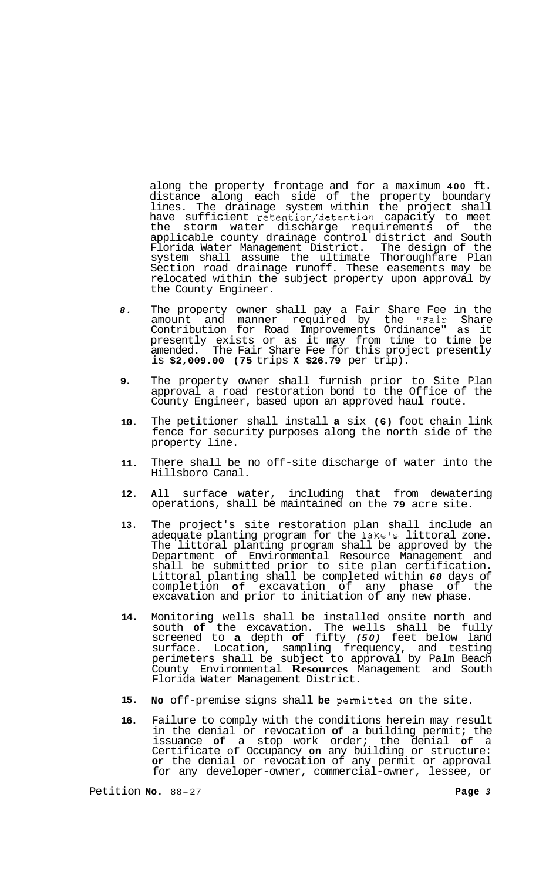along the property frontage and for a maximum **400** ft. distance along each side of the property boundary lines. The drainage system within the project shall have sufficient retention/detention capacity to meet the storm water discharge requirements of the applicable county drainage control district and South Florida Water Management District. The design of the system shall assume the ultimate Thoroughfare Plan Section road drainage runoff. These easements may be relocated within the subject property upon approval by the County Engineer.

- *8.*  The property owner shall pay a Fair Share Fee in the amount and manner required by the "Fair Share Contribution for Road Improvements Ordinance" as it presently exists or as it may from time to time be amended. The Fair Share Fee for this project presently is **\$2,009.00 (75** trips **X \$26.79** per trip).
- **9.**  The property owner shall furnish prior to Site Plan approval a road restoration bond to the Office of the County Engineer, based upon an approved haul route.
- **10.**  The petitioner shall install **a** six **(6)** foot chain link fence for security purposes along the north side of the property line.
- **11.**  There shall be no off-site discharge of water into the Hillsboro Canal.
- **12. All** surface water, including that from dewatering operations, shall be maintained on the **79** acre site.
- **13.**  The project's site restoration plan shall include an adequate planting program for the lake's littoral zone. The littoral planting program shall be approved by the Department of Environmental Resource Management and shall be submitted prior to site plan certification. Littoral planting shall be completed within *60* days of completion **of** excavation of any phase of the excavation and prior to initiation of any new phase.
- **14.**  Monitoring wells shall be installed onsite north and south **of** the excavation. The wells shall be fully screened to **a** depth **of** fifty *(50)* feet below land surface. Location, sampling frequency, and testing perimeters shall be subject to approval by Palm Beach County Environmental **Resources** Management and South Florida Water Management District.
- **15. No** off-premise signs shall **be** permitted on the site.
- **16.**  Failure to comply with the conditions herein may result in the denial or revocation **of** a building permit; the issuance **of** a stop work order; the denial **of** a Certificate of Occupancy **on** any building or structure: **or** the denial or revocation of any permit or approval for any developer-owner, commercial-owner, lessee, or